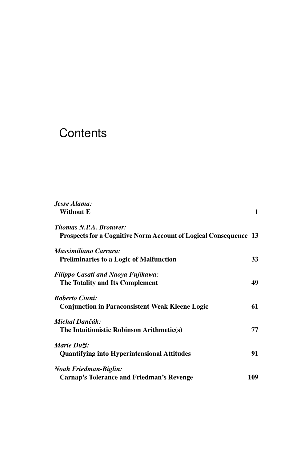## **Contents**

| Jesse Alama:                                                            |     |
|-------------------------------------------------------------------------|-----|
| <b>Without E</b>                                                        | 1   |
| <b>Thomas N.P.A. Brouwer:</b>                                           |     |
| <b>Prospects for a Cognitive Norm Account of Logical Consequence 13</b> |     |
| Massimiliano Carrara:                                                   |     |
| <b>Preliminaries to a Logic of Malfunction</b>                          | 33  |
| Filippo Casati and Naoya Fujikawa:                                      |     |
| The Totality and Its Complement                                         | 49  |
| Roberto Ciuni:                                                          |     |
| <b>Conjunction in Paraconsistent Weak Kleene Logic</b>                  | 61  |
| Michal Dančák:                                                          |     |
| The Intuitionistic Robinson Arithmetic(s)                               | 77  |
| Marie Duží:                                                             |     |
| <b>Quantifying into Hyperintensional Attitudes</b>                      | 91  |
| Noah Friedman-Biglin:                                                   |     |
| Carnap's Tolerance and Friedman's Revenge                               | 109 |